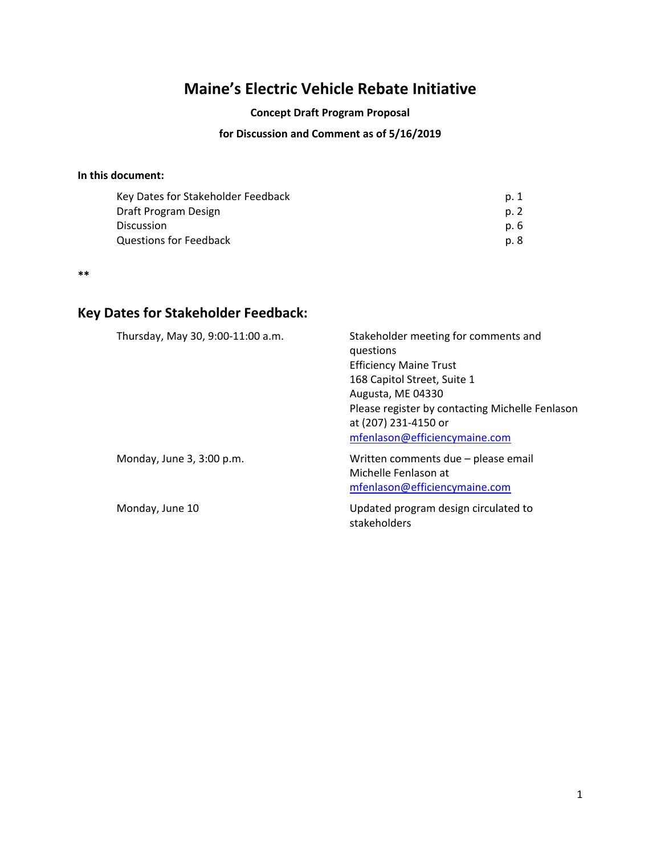# **Maine's Electric Vehicle Rebate Initiative**

#### **Concept Draft Program Proposal**

## **for Discussion and Comment as of 5/16/2019**

## **In this document:**

| Key Dates for Stakeholder Feedback | p. 1 |
|------------------------------------|------|
| Draft Program Design               | p. 2 |
| <b>Discussion</b>                  | p. 6 |
| Questions for Feedback             | p. 8 |

**\*\***

# **Key Dates for Stakeholder Feedback:**

| Thursday, May 30, 9:00-11:00 a.m. | Stakeholder meeting for comments and<br>questions<br><b>Efficiency Maine Trust</b><br>168 Capitol Street, Suite 1<br>Augusta, ME 04330<br>Please register by contacting Michelle Fenlason<br>at (207) 231-4150 or |
|-----------------------------------|-------------------------------------------------------------------------------------------------------------------------------------------------------------------------------------------------------------------|
| Monday, June 3, 3:00 p.m.         | mfenlason@efficiencymaine.com<br>Written comments due - please email                                                                                                                                              |
|                                   | Michelle Fenlason at<br>mfenlason@efficiencymaine.com                                                                                                                                                             |
| Monday, June 10                   | Updated program design circulated to<br>stakeholders                                                                                                                                                              |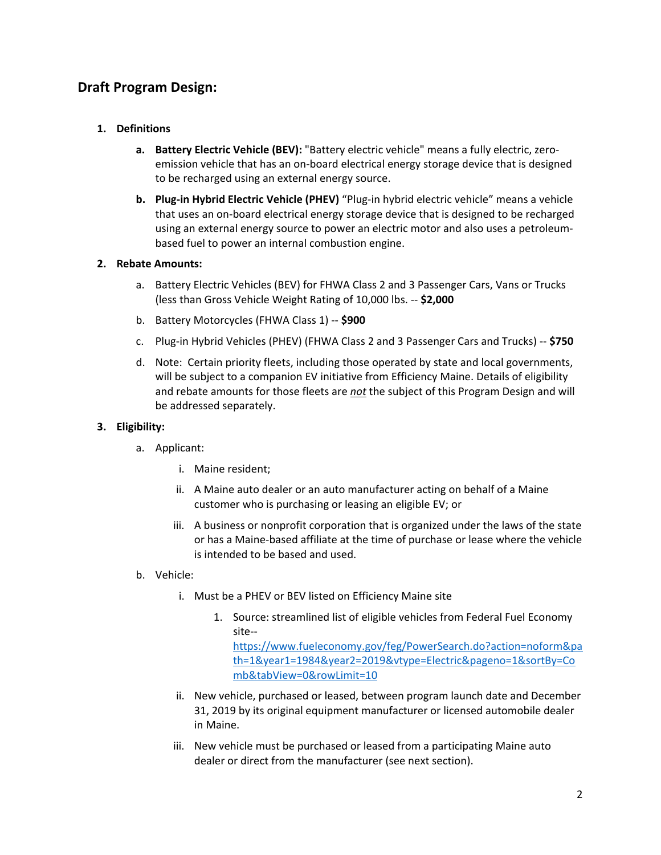## **Draft Program Design:**

## **1. Definitions**

- **a. Battery Electric Vehicle (BEV):** "Battery electric vehicle" means a fully electric, zeroemission vehicle that has an on-board electrical energy storage device that is designed to be recharged using an external energy source.
- **b. Plug-in Hybrid Electric Vehicle (PHEV)** "Plug-in hybrid electric vehicle" means a vehicle that uses an on-board electrical energy storage device that is designed to be recharged using an external energy source to power an electric motor and also uses a petroleumbased fuel to power an internal combustion engine.

## **2. Rebate Amounts:**

- a. Battery Electric Vehicles (BEV) for FHWA Class 2 and 3 Passenger Cars, Vans or Trucks (less than Gross Vehicle Weight Rating of 10,000 lbs. -- **\$2,000**
- b. Battery Motorcycles (FHWA Class 1) -- **\$900**
- c. Plug-in Hybrid Vehicles (PHEV) (FHWA Class 2 and 3 Passenger Cars and Trucks) -- **\$750**
- d. Note: Certain priority fleets, including those operated by state and local governments, will be subject to a companion EV initiative from Efficiency Maine. Details of eligibility and rebate amounts for those fleets are *not* the subject of this Program Design and will be addressed separately.

### **3. Eligibility:**

- a. Applicant:
	- i. Maine resident;
	- ii. A Maine auto dealer or an auto manufacturer acting on behalf of a Maine customer who is purchasing or leasing an eligible EV; or
	- iii. A business or nonprofit corporation that is organized under the laws of the state or has a Maine-based affiliate at the time of purchase or lease where the vehicle is intended to be based and used.
- b. Vehicle:
	- i. Must be a PHEV or BEV listed on Efficiency Maine site
		- 1. Source: streamlined list of eligible vehicles from Federal Fuel Economy site--

[https://www.fueleconomy.gov/feg/PowerSearch.do?action=noform&pa](https://www.fueleconomy.gov/feg/PowerSearch.do?action=noform&path=1&year1=1984&year2=2019&vtype=Electric&pageno=1&sortBy=Comb&tabView=0&rowLimit=10) [th=1&year1=1984&year2=2019&vtype=Electric&pageno=1&sortBy=Co](https://www.fueleconomy.gov/feg/PowerSearch.do?action=noform&path=1&year1=1984&year2=2019&vtype=Electric&pageno=1&sortBy=Comb&tabView=0&rowLimit=10) [mb&tabView=0&rowLimit=10](https://www.fueleconomy.gov/feg/PowerSearch.do?action=noform&path=1&year1=1984&year2=2019&vtype=Electric&pageno=1&sortBy=Comb&tabView=0&rowLimit=10)

- ii. New vehicle, purchased or leased, between program launch date and December 31, 2019 by its original equipment manufacturer or licensed automobile dealer in Maine.
- iii. New vehicle must be purchased or leased from a participating Maine auto dealer or direct from the manufacturer (see next section).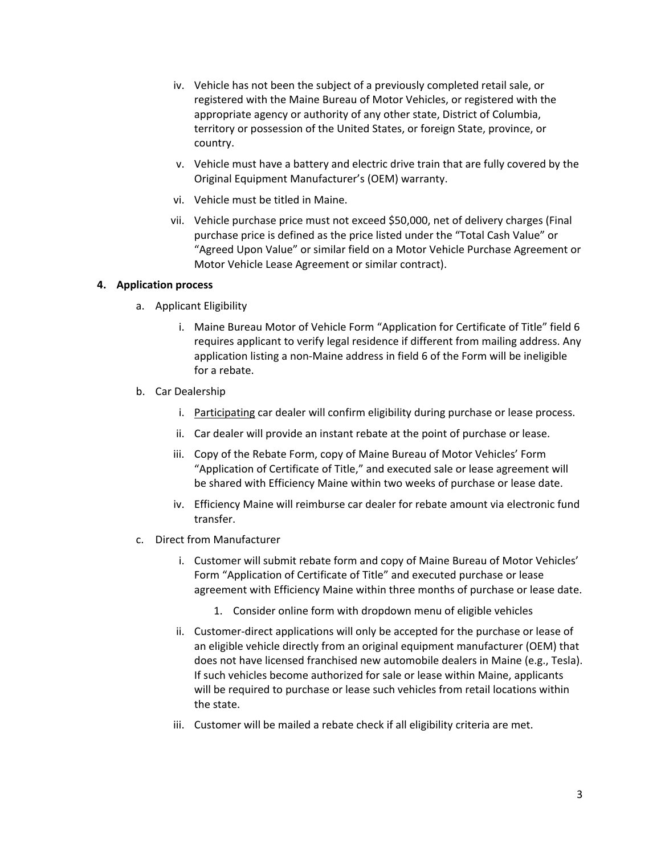- iv. Vehicle has not been the subject of a previously completed retail sale, or registered with the Maine Bureau of Motor Vehicles, or registered with the appropriate agency or authority of any other state, District of Columbia, territory or possession of the United States, or foreign State, province, or country.
- v. Vehicle must have a battery and electric drive train that are fully covered by the Original Equipment Manufacturer's (OEM) warranty.
- vi. Vehicle must be titled in Maine.
- vii. Vehicle purchase price must not exceed \$50,000, net of delivery charges (Final purchase price is defined as the price listed under the "Total Cash Value" or "Agreed Upon Value" or similar field on a Motor Vehicle Purchase Agreement or Motor Vehicle Lease Agreement or similar contract).

#### **4. Application process**

- a. Applicant Eligibility
	- i. Maine Bureau Motor of Vehicle Form "Application for Certificate of Title" field 6 requires applicant to verify legal residence if different from mailing address. Any application listing a non-Maine address in field 6 of the Form will be ineligible for a rebate.
- b. Car Dealership
	- i. Participating car dealer will confirm eligibility during purchase or lease process.
	- ii. Car dealer will provide an instant rebate at the point of purchase or lease.
	- iii. Copy of the Rebate Form, copy of Maine Bureau of Motor Vehicles' Form "Application of Certificate of Title," and executed sale or lease agreement will be shared with Efficiency Maine within two weeks of purchase or lease date.
	- iv. Efficiency Maine will reimburse car dealer for rebate amount via electronic fund transfer.
- c. Direct from Manufacturer
	- i. Customer will submit rebate form and copy of Maine Bureau of Motor Vehicles' Form "Application of Certificate of Title" and executed purchase or lease agreement with Efficiency Maine within three months of purchase or lease date.
		- 1. Consider online form with dropdown menu of eligible vehicles
	- ii. Customer-direct applications will only be accepted for the purchase or lease of an eligible vehicle directly from an original equipment manufacturer (OEM) that does not have licensed franchised new automobile dealers in Maine (e.g., Tesla). If such vehicles become authorized for sale or lease within Maine, applicants will be required to purchase or lease such vehicles from retail locations within the state.
	- iii. Customer will be mailed a rebate check if all eligibility criteria are met.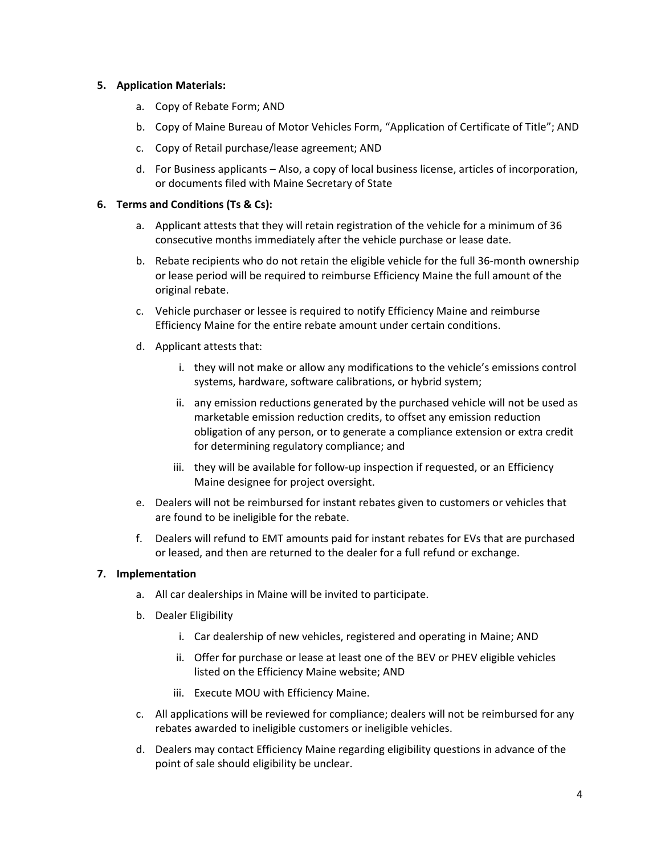### **5. Application Materials:**

- a. Copy of Rebate Form; AND
- b. Copy of Maine Bureau of Motor Vehicles Form, "Application of Certificate of Title"; AND
- c. Copy of Retail purchase/lease agreement; AND
- d. For Business applicants Also, a copy of local business license, articles of incorporation, or documents filed with Maine Secretary of State

## **6. Terms and Conditions (Ts & Cs):**

- a. Applicant attests that they will retain registration of the vehicle for a minimum of 36 consecutive months immediately after the vehicle purchase or lease date.
- b. Rebate recipients who do not retain the eligible vehicle for the full 36-month ownership or lease period will be required to reimburse Efficiency Maine the full amount of the original rebate.
- c. Vehicle purchaser or lessee is required to notify Efficiency Maine and reimburse Efficiency Maine for the entire rebate amount under certain conditions.
- d. Applicant attests that:
	- i. they will not make or allow any modifications to the vehicle's emissions control systems, hardware, software calibrations, or hybrid system;
	- ii. any emission reductions generated by the purchased vehicle will not be used as marketable emission reduction credits, to offset any emission reduction obligation of any person, or to generate a compliance extension or extra credit for determining regulatory compliance; and
	- iii. they will be available for follow-up inspection if requested, or an Efficiency Maine designee for project oversight.
- e. Dealers will not be reimbursed for instant rebates given to customers or vehicles that are found to be ineligible for the rebate.
- f. Dealers will refund to EMT amounts paid for instant rebates for EVs that are purchased or leased, and then are returned to the dealer for a full refund or exchange.

## **7. Implementation**

- a. All car dealerships in Maine will be invited to participate.
- b. Dealer Eligibility
	- i. Car dealership of new vehicles, registered and operating in Maine; AND
	- ii. Offer for purchase or lease at least one of the BEV or PHEV eligible vehicles listed on the Efficiency Maine website; AND
	- iii. Execute MOU with Efficiency Maine.
- c. All applications will be reviewed for compliance; dealers will not be reimbursed for any rebates awarded to ineligible customers or ineligible vehicles.
- d. Dealers may contact Efficiency Maine regarding eligibility questions in advance of the point of sale should eligibility be unclear.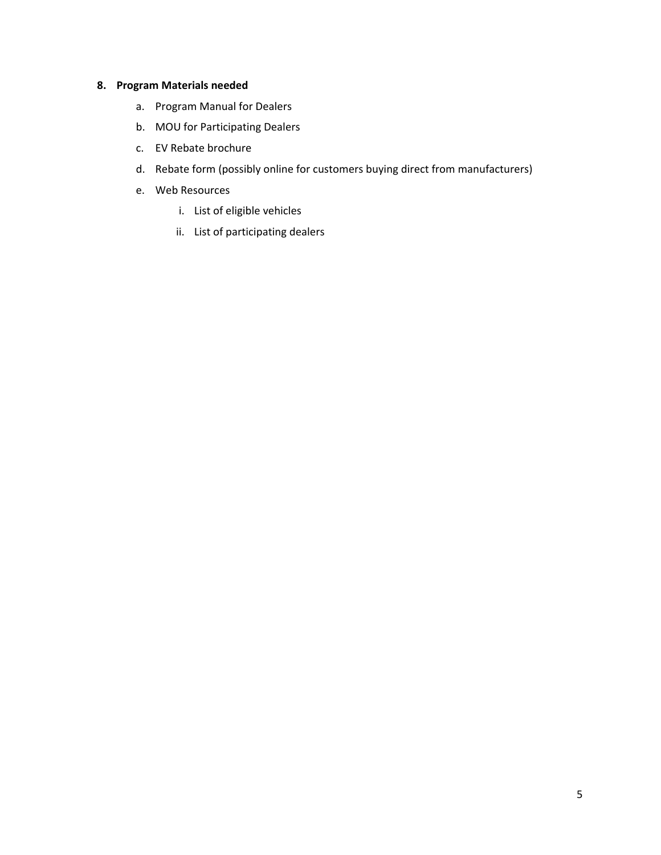## **8. Program Materials needed**

- a. Program Manual for Dealers
- b. MOU for Participating Dealers
- c. EV Rebate brochure
- d. Rebate form (possibly online for customers buying direct from manufacturers)
- e. Web Resources
	- i. List of eligible vehicles
	- ii. List of participating dealers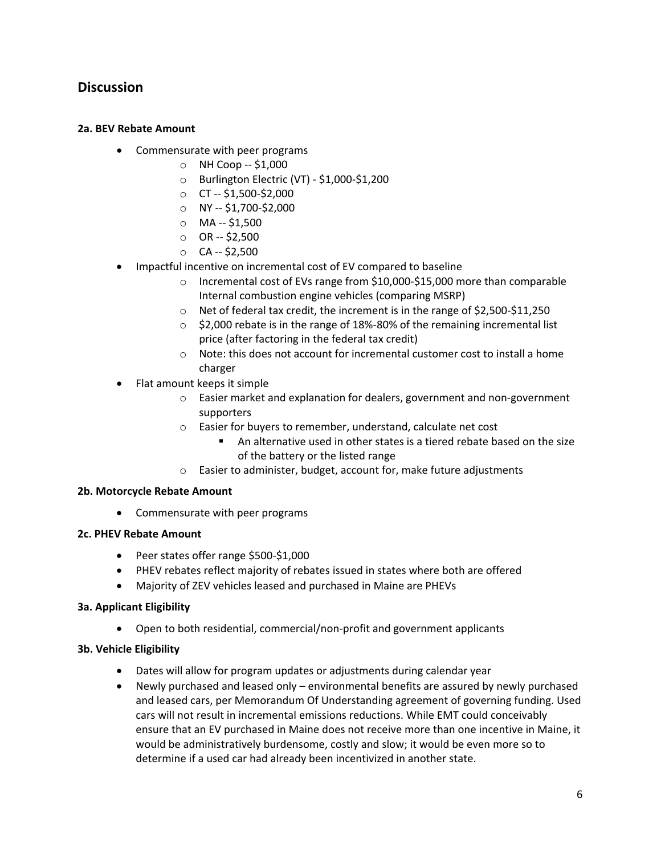## **Discussion**

### **2a. BEV Rebate Amount**

- Commensurate with peer programs
	- $\circ$  NH Coop -- \$1,000
	- o Burlington Electric (VT) \$1,000-\$1,200
	- $\circ$  CT -- \$1,500-\$2,000
	- o NY -- \$1,700-\$2,000
	- $O$  MA -- \$1,500
	- $O$  OR  $-$  \$2,500
	- $O$  CA -- \$2,500
- Impactful incentive on incremental cost of EV compared to baseline
	- o Incremental cost of EVs range from \$10,000-\$15,000 more than comparable Internal combustion engine vehicles (comparing MSRP)
	- o Net of federal tax credit, the increment is in the range of \$2,500-\$11,250
	- $\circ$  \$2,000 rebate is in the range of 18%-80% of the remaining incremental list price (after factoring in the federal tax credit)
	- o Note: this does not account for incremental customer cost to install a home charger
- Flat amount keeps it simple
	- o Easier market and explanation for dealers, government and non-government supporters
	- o Easier for buyers to remember, understand, calculate net cost
		- An alternative used in other states is a tiered rebate based on the size of the battery or the listed range
	- o Easier to administer, budget, account for, make future adjustments

### **2b. Motorcycle Rebate Amount**

• Commensurate with peer programs

### **2c. PHEV Rebate Amount**

- Peer states offer range \$500-\$1,000
- PHEV rebates reflect majority of rebates issued in states where both are offered
- Majority of ZEV vehicles leased and purchased in Maine are PHEVs

### **3a. Applicant Eligibility**

• Open to both residential, commercial/non-profit and government applicants

## **3b. Vehicle Eligibility**

- Dates will allow for program updates or adjustments during calendar year
- Newly purchased and leased only environmental benefits are assured by newly purchased and leased cars, per Memorandum Of Understanding agreement of governing funding. Used cars will not result in incremental emissions reductions. While EMT could conceivably ensure that an EV purchased in Maine does not receive more than one incentive in Maine, it would be administratively burdensome, costly and slow; it would be even more so to determine if a used car had already been incentivized in another state.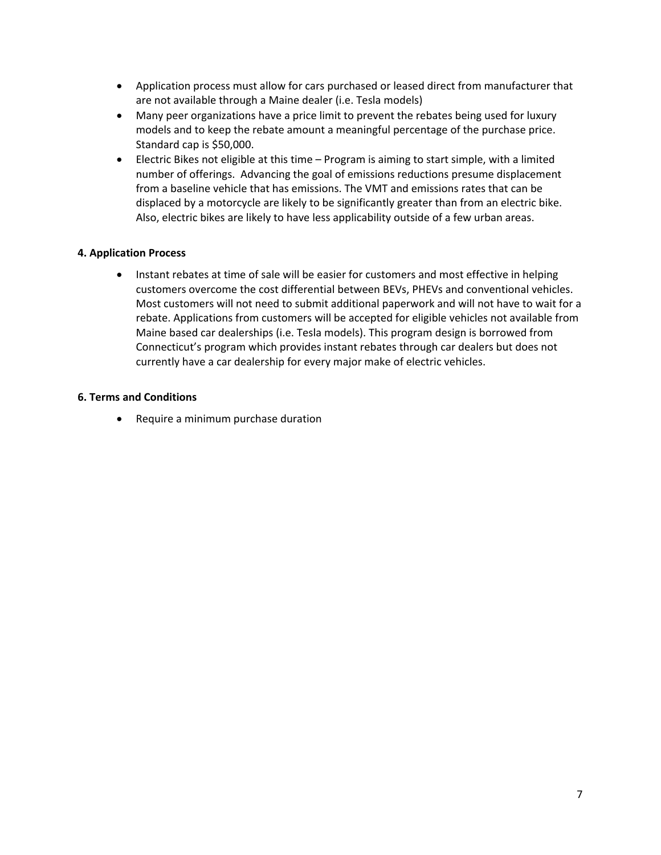- Application process must allow for cars purchased or leased direct from manufacturer that are not available through a Maine dealer (i.e. Tesla models)
- Many peer organizations have a price limit to prevent the rebates being used for luxury models and to keep the rebate amount a meaningful percentage of the purchase price. Standard cap is \$50,000.
- Electric Bikes not eligible at this time Program is aiming to start simple, with a limited number of offerings. Advancing the goal of emissions reductions presume displacement from a baseline vehicle that has emissions. The VMT and emissions rates that can be displaced by a motorcycle are likely to be significantly greater than from an electric bike. Also, electric bikes are likely to have less applicability outside of a few urban areas.

### **4. Application Process**

• Instant rebates at time of sale will be easier for customers and most effective in helping customers overcome the cost differential between BEVs, PHEVs and conventional vehicles. Most customers will not need to submit additional paperwork and will not have to wait for a rebate. Applications from customers will be accepted for eligible vehicles not available from Maine based car dealerships (i.e. Tesla models). This program design is borrowed from Connecticut's program which provides instant rebates through car dealers but does not currently have a car dealership for every major make of electric vehicles.

#### **6. Terms and Conditions**

• Require a minimum purchase duration